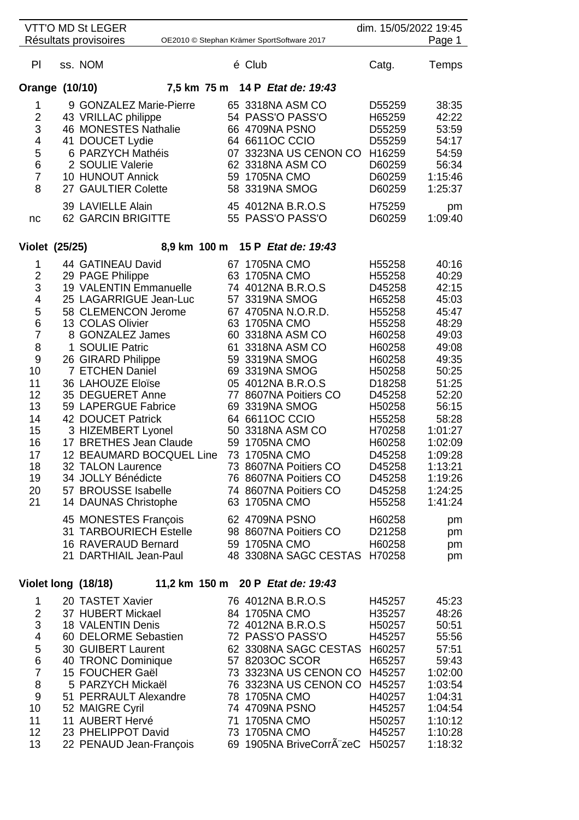|                                                                                                                                                      | <b>VTT'O MD St LEGER</b><br>Résultats provisoires                                                                                                                                                                                                                                                                                                                                                                                                                               |    |                                                                                                                                                                                           | OE2010 © Stephan Krämer SportSoftware 2017                                                                                                                                                                                   | dim. 15/05/2022 19:45                                                                                                                                                                                          | Page 1                                                                                                                                                                                                  |
|------------------------------------------------------------------------------------------------------------------------------------------------------|---------------------------------------------------------------------------------------------------------------------------------------------------------------------------------------------------------------------------------------------------------------------------------------------------------------------------------------------------------------------------------------------------------------------------------------------------------------------------------|----|-------------------------------------------------------------------------------------------------------------------------------------------------------------------------------------------|------------------------------------------------------------------------------------------------------------------------------------------------------------------------------------------------------------------------------|----------------------------------------------------------------------------------------------------------------------------------------------------------------------------------------------------------------|---------------------------------------------------------------------------------------------------------------------------------------------------------------------------------------------------------|
|                                                                                                                                                      |                                                                                                                                                                                                                                                                                                                                                                                                                                                                                 |    |                                                                                                                                                                                           |                                                                                                                                                                                                                              |                                                                                                                                                                                                                |                                                                                                                                                                                                         |
| PI                                                                                                                                                   | ss. NOM                                                                                                                                                                                                                                                                                                                                                                                                                                                                         |    | é Club                                                                                                                                                                                    |                                                                                                                                                                                                                              | Catg.                                                                                                                                                                                                          | Temps                                                                                                                                                                                                   |
| Orange (10/10)                                                                                                                                       |                                                                                                                                                                                                                                                                                                                                                                                                                                                                                 |    |                                                                                                                                                                                           | 7,5 km 75 m 14 P Etat de: 19:43                                                                                                                                                                                              |                                                                                                                                                                                                                |                                                                                                                                                                                                         |
| 1<br>$\overline{c}$<br>3<br>$\overline{\mathbf{4}}$<br>5<br>6<br>$\overline{7}$<br>8<br>nc                                                           | 9 GONZALEZ Marie-Pierre<br>43 VRILLAC philippe<br>46 MONESTES Nathalie<br>41 DOUCET Lydie<br>6 PARZYCH Mathéis<br>2 SOULIE Valerie<br>10 HUNOUT Annick<br>27 GAULTIER Colette<br>39 LAVIELLE Alain<br><b>62 GARCIN BRIGITTE</b>                                                                                                                                                                                                                                                 |    | 66 4709NA PSNO<br>64 6611OC CCIO<br>59 1705NA CMO<br>58 3319NA SMOG                                                                                                                       | 65 3318NA ASM CO<br>54 PASS'O PASS'O<br>07 3323NA US CENON CO<br>62 3318NA ASM CO<br>45 4012NA B.R.O.S<br>55 PASS'O PASS'O                                                                                                   | D55259<br>H65259<br>D55259<br>D55259<br>H16259<br>D60259<br>D60259<br>D60259<br>H75259<br>D60259                                                                                                               | 38:35<br>42:22<br>53:59<br>54:17<br>54:59<br>56:34<br>1:15:46<br>1:25:37<br>pm<br>1:09:40                                                                                                               |
| <b>Violet (25/25)</b>                                                                                                                                |                                                                                                                                                                                                                                                                                                                                                                                                                                                                                 |    |                                                                                                                                                                                           | 8,9 km 100 m 15 P Etat de: 19:43                                                                                                                                                                                             |                                                                                                                                                                                                                |                                                                                                                                                                                                         |
|                                                                                                                                                      |                                                                                                                                                                                                                                                                                                                                                                                                                                                                                 |    |                                                                                                                                                                                           |                                                                                                                                                                                                                              |                                                                                                                                                                                                                |                                                                                                                                                                                                         |
| 1<br>$\overline{\mathbf{c}}$<br>3<br>4<br>5<br>6<br>$\overline{7}$<br>8<br>9<br>10<br>11<br>12<br>13<br>14<br>15<br>16<br>17<br>18<br>19<br>20<br>21 | 44 GATINEAU David<br>29 PAGE Philippe<br>19 VALENTIN Emmanuelle<br>25 LAGARRIGUE Jean-Luc<br>58 CLEMENCON Jerome<br>13 COLAS Olivier<br>8 GONZALEZ James<br>1 SOULIE Patric<br>26 GIRARD Philippe<br>7 ETCHEN Daniel<br>36 LAHOUZE Eloïse<br>35 DEGUERET Anne<br>59 LAPERGUE Fabrice<br>42 DOUCET Patrick<br>3 HIZEMBERT Lyonel<br>17 BRETHES Jean Claude<br>12 BEAUMARD BOCQUEL Line<br>32 TALON Laurence<br>34 JOLLY Bénédicte<br>57 BROUSSE Isabelle<br>14 DAUNAS Christophe | 73 | 67 1705NA CMO<br>63 1705NA CMO<br>57 3319NA SMOG<br>63 1705NA CMO<br>59 3319NA SMOG<br>69 3319NA SMOG<br>69 3319NA SMOG<br>64 6611OC CCIO<br>59 1705NA CMO<br>1705NA CMO<br>63 1705NA CMO | 74 4012NA B.R.O.S<br>67 4705NA N.O.R.D.<br>60 3318NA ASM CO<br>61 3318NA ASM CO<br>05 4012NA B.R.O.S<br>77 8607NA Poitiers CO<br>50 3318NA ASM CO<br>73 8607NA Poitiers CO<br>76 8607NA Poitiers CO<br>74 8607NA Poitiers CO | H55258<br>H55258<br>D45258<br>H65258<br>H55258<br>H55258<br>H60258<br>H60258<br>H60258<br>H50258<br>D18258<br>D45258<br>H50258<br>H55258<br>H70258<br>H60258<br>D45258<br>D45258<br>D45258<br>D45258<br>H55258 | 40:16<br>40:29<br>42:15<br>45:03<br>45:47<br>48:29<br>49:03<br>49:08<br>49:35<br>50:25<br>51:25<br>52:20<br>56:15<br>58:28<br>1:01:27<br>1:02:09<br>1:09:28<br>1:13:21<br>1:19:26<br>1:24:25<br>1:41:24 |
|                                                                                                                                                      | 45 MONESTES François<br>31 TARBOURIECH Estelle<br>16 RAVERAUD Bernard<br>21 DARTHIAIL Jean-Paul                                                                                                                                                                                                                                                                                                                                                                                 |    | 62 4709NA PSNO<br>59 1705NA CMO                                                                                                                                                           | 98 8607NA Poitiers CO<br>48 3308NA SAGC CESTAS                                                                                                                                                                               | H60258<br>D21258<br>H60258<br>H70258                                                                                                                                                                           | pm<br>pm<br>pm<br>pm                                                                                                                                                                                    |
| Violet long (18/18)                                                                                                                                  |                                                                                                                                                                                                                                                                                                                                                                                                                                                                                 |    |                                                                                                                                                                                           | 11,2 km 150 m 20 P Etat de: 19:43                                                                                                                                                                                            |                                                                                                                                                                                                                |                                                                                                                                                                                                         |
| 1<br>$\overline{2}$<br>3<br>$\overline{\mathcal{A}}$<br>5<br>$\,6$<br>$\overline{7}$<br>8<br>9<br>10<br>11<br>12                                     | 20 TASTET Xavier<br>37 HUBERT Mickael<br>18 VALENTIN Denis<br>60 DELORME Sebastien<br>30 GUIBERT Laurent<br>40 TRONC Dominique<br>15 FOUCHER Gaël<br>5 PARZYCH Mickaël<br>51 PERRAULT Alexandre<br>52 MAIGRE Cyril<br>11 AUBERT Hervé<br>23 PHELIPPOT David                                                                                                                                                                                                                     |    | 84 1705NA CMO<br>57 8203OC SCOR<br>78 1705NA CMO<br>74 4709NA PSNO<br>71 1705NA CMO<br>73 1705NA CMO                                                                                      | 76 4012NA B.R.O.S<br>72 4012NA B.R.O.S<br>72 PASS'O PASS'O<br>62 3308NA SAGC CESTAS<br>73 3323NA US CENON CO<br>76 3323NA US CENON CO                                                                                        | H45257<br>H35257<br>H50257<br>H45257<br>H60257<br>H65257<br>H45257<br>H45257<br>H40257<br>H45257<br>H50257<br>H45257                                                                                           | 45:23<br>48:26<br>50:51<br>55:56<br>57:51<br>59:43<br>1:02:00<br>1:03:54<br>1:04:31<br>1:04:54<br>1:10:12<br>1:10:28                                                                                    |

13 22 PENAUD Jean-François 69 1905NA BriveCorrA zeC H50257 1:18:32